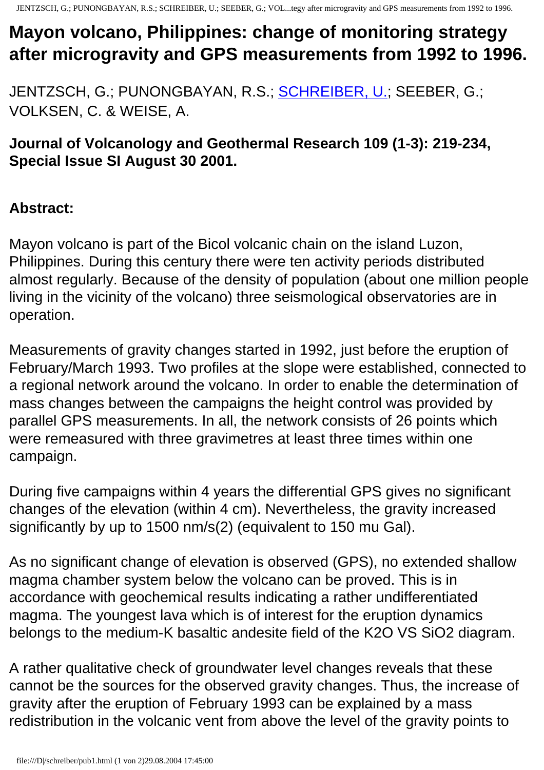## **Mayon volcano, Philippines: change of monitoring strategy after microgravity and GPS measurements from 1992 to 1996.**

JENTZSCH, G.; PUNONGBAYAN, R.S.; [SCHREIBER, U.;](http://www.uni-essen.de/geologie/pers/schreibr.htm) SEEBER, G.; VOLKSEN, C. & WEISE, A.

**Journal of Volcanology and Geothermal Research 109 (1-3): 219-234, Special Issue SI August 30 2001.**

## **Abstract:**

Mayon volcano is part of the Bicol volcanic chain on the island Luzon, Philippines. During this century there were ten activity periods distributed almost regularly. Because of the density of population (about one million people living in the vicinity of the volcano) three seismological observatories are in operation.

Measurements of gravity changes started in 1992, just before the eruption of February/March 1993. Two profiles at the slope were established, connected to a regional network around the volcano. In order to enable the determination of mass changes between the campaigns the height control was provided by parallel GPS measurements. In all, the network consists of 26 points which were remeasured with three gravimetres at least three times within one campaign.

During five campaigns within 4 years the differential GPS gives no significant changes of the elevation (within 4 cm). Nevertheless, the gravity increased significantly by up to 1500 nm/s(2) (equivalent to 150 mu Gal).

As no significant change of elevation is observed (GPS), no extended shallow magma chamber system below the volcano can be proved. This is in accordance with geochemical results indicating a rather undifferentiated magma. The youngest lava which is of interest for the eruption dynamics belongs to the medium-K basaltic andesite field of the K2O VS SiO2 diagram.

A rather qualitative check of groundwater level changes reveals that these cannot be the sources for the observed gravity changes. Thus, the increase of gravity after the eruption of February 1993 can be explained by a mass redistribution in the volcanic vent from above the level of the gravity points to